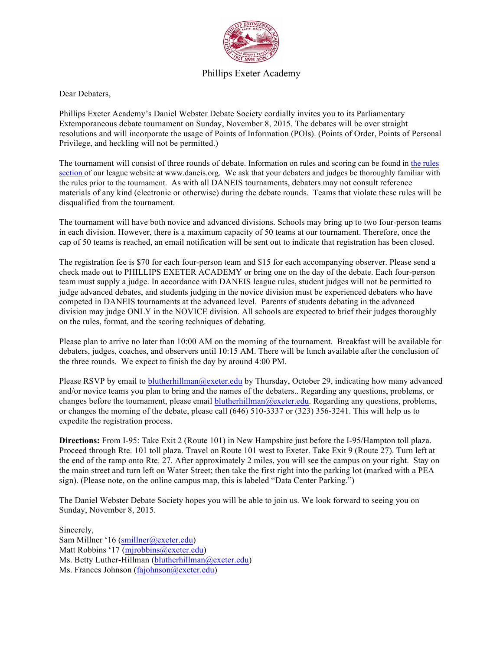

## Phillips Exeter Academy

Dear Debaters,

Phillips Exeter Academy's Daniel Webster Debate Society cordially invites you to its Parliamentary Extemporaneous debate tournament on Sunday, November 8, 2015. The debates will be over straight resolutions and will incorporate the usage of Points of Information (POIs). (Points of Order, Points of Personal Privilege, and heckling will not be permitted.)

The tournament will consist of three rounds of debate. Information on rules and scoring can be found in the rules section of our league website at www.daneis.org. We ask that your debaters and judges be thoroughly familiar with the rules prior to the tournament. As with all DANEIS tournaments, debaters may not consult reference materials of any kind (electronic or otherwise) during the debate rounds. Teams that violate these rules will be disqualified from the tournament.

The tournament will have both novice and advanced divisions. Schools may bring up to two four-person teams in each division. However, there is a maximum capacity of 50 teams at our tournament. Therefore, once the cap of 50 teams is reached, an email notification will be sent out to indicate that registration has been closed.

The registration fee is \$70 for each four-person team and \$15 for each accompanying observer. Please send a check made out to PHILLIPS EXETER ACADEMY or bring one on the day of the debate. Each four-person team must supply a judge. In accordance with DANEIS league rules, student judges will not be permitted to judge advanced debates, and students judging in the novice division must be experienced debaters who have competed in DANEIS tournaments at the advanced level. Parents of students debating in the advanced division may judge ONLY in the NOVICE division. All schools are expected to brief their judges thoroughly on the rules, format, and the scoring techniques of debating.

Please plan to arrive no later than 10:00 AM on the morning of the tournament. Breakfast will be available for debaters, judges, coaches, and observers until 10:15 AM. There will be lunch available after the conclusion of the three rounds. We expect to finish the day by around 4:00 PM.

Please RSVP by email to blutherhillman@exeter.edu by Thursday, October 29, indicating how many advanced and/or novice teams you plan to bring and the names of the debaters.. Regarding any questions, problems, or changes before the tournament, please email blutherhillman@exeter.edu. Regarding any questions, problems, or changes the morning of the debate, please call (646) 510-3337 or (323) 356-3241. This will help us to expedite the registration process.

**Directions:** From I-95: Take Exit 2 (Route 101) in New Hampshire just before the I-95/Hampton toll plaza. Proceed through Rte. 101 toll plaza. Travel on Route 101 west to Exeter. Take Exit 9 (Route 27). Turn left at the end of the ramp onto Rte. 27. After approximately 2 miles, you will see the campus on your right. Stay on the main street and turn left on Water Street; then take the first right into the parking lot (marked with a PEA sign). (Please note, on the online campus map, this is labeled "Data Center Parking.")

The Daniel Webster Debate Society hopes you will be able to join us. We look forward to seeing you on Sunday, November 8, 2015.

Sincerely, Sam Millner '16 (smillner@exeter.edu) Matt Robbins '17 (mjrobbins@exeter.edu) Ms. Betty Luther-Hillman (blutherhillman@exeter.edu) Ms. Frances Johnson (fajohnson@exeter.edu)